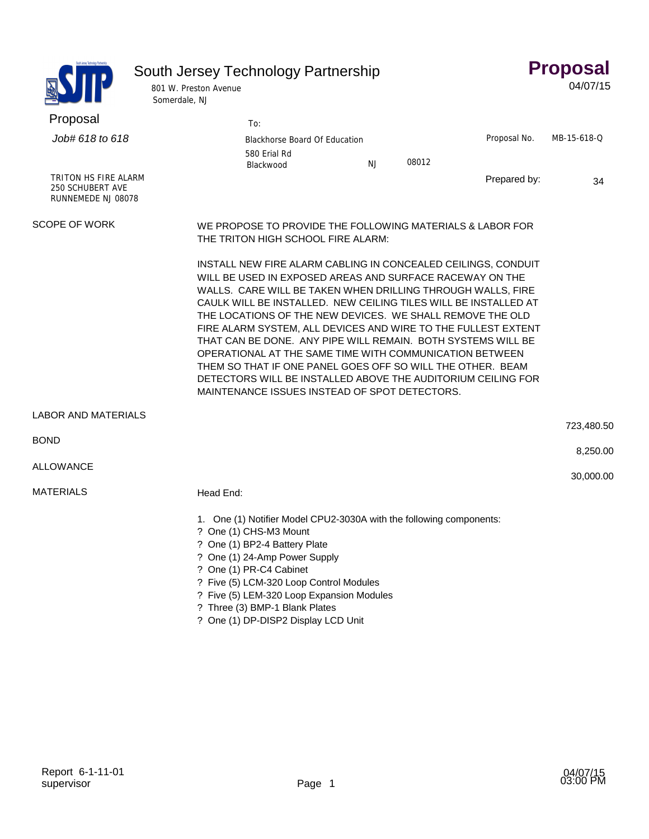|                                                                | South Jersey Technology Partnership<br>801 W. Preston Avenue<br>Somerdale, NJ                   |                                                                                                                                                                                                                                                                                                                                                                                                                                                                                                                                                                                                                                                                                                     |    |       |              | <b>Proposal</b><br>04/07/15 |
|----------------------------------------------------------------|-------------------------------------------------------------------------------------------------|-----------------------------------------------------------------------------------------------------------------------------------------------------------------------------------------------------------------------------------------------------------------------------------------------------------------------------------------------------------------------------------------------------------------------------------------------------------------------------------------------------------------------------------------------------------------------------------------------------------------------------------------------------------------------------------------------------|----|-------|--------------|-----------------------------|
| Proposal                                                       |                                                                                                 | To:                                                                                                                                                                                                                                                                                                                                                                                                                                                                                                                                                                                                                                                                                                 |    |       |              |                             |
| Job# 618 to 618                                                |                                                                                                 | Blackhorse Board Of Education<br>580 Erial Rd                                                                                                                                                                                                                                                                                                                                                                                                                                                                                                                                                                                                                                                       | NJ | 08012 | Proposal No. | MB-15-618-Q                 |
| TRITON HS FIRE ALARM<br>250 SCHUBERT AVE<br>RUNNEMEDE NJ 08078 |                                                                                                 | Blackwood                                                                                                                                                                                                                                                                                                                                                                                                                                                                                                                                                                                                                                                                                           |    |       | Prepared by: | 34                          |
| <b>SCOPE OF WORK</b>                                           | WE PROPOSE TO PROVIDE THE FOLLOWING MATERIALS & LABOR FOR<br>THE TRITON HIGH SCHOOL FIRE ALARM: |                                                                                                                                                                                                                                                                                                                                                                                                                                                                                                                                                                                                                                                                                                     |    |       |              |                             |
|                                                                |                                                                                                 | INSTALL NEW FIRE ALARM CABLING IN CONCEALED CEILINGS, CONDUIT<br>WILL BE USED IN EXPOSED AREAS AND SURFACE RACEWAY ON THE<br>WALLS. CARE WILL BE TAKEN WHEN DRILLING THROUGH WALLS, FIRE<br>CAULK WILL BE INSTALLED. NEW CEILING TILES WILL BE INSTALLED AT<br>THE LOCATIONS OF THE NEW DEVICES. WE SHALL REMOVE THE OLD<br>FIRE ALARM SYSTEM, ALL DEVICES AND WIRE TO THE FULLEST EXTENT<br>THAT CAN BE DONE. ANY PIPE WILL REMAIN. BOTH SYSTEMS WILL BE<br>OPERATIONAL AT THE SAME TIME WITH COMMUNICATION BETWEEN<br>THEM SO THAT IF ONE PANEL GOES OFF SO WILL THE OTHER. BEAM<br>DETECTORS WILL BE INSTALLED ABOVE THE AUDITORIUM CEILING FOR<br>MAINTENANCE ISSUES INSTEAD OF SPOT DETECTORS. |    |       |              |                             |
| <b>LABOR AND MATERIALS</b>                                     |                                                                                                 |                                                                                                                                                                                                                                                                                                                                                                                                                                                                                                                                                                                                                                                                                                     |    |       |              | 723,480.50                  |
| <b>BOND</b>                                                    |                                                                                                 |                                                                                                                                                                                                                                                                                                                                                                                                                                                                                                                                                                                                                                                                                                     |    |       |              | 8,250.00                    |
| <b>ALLOWANCE</b>                                               |                                                                                                 |                                                                                                                                                                                                                                                                                                                                                                                                                                                                                                                                                                                                                                                                                                     |    |       |              |                             |
| <b>MATERIALS</b>                                               | Head End:                                                                                       |                                                                                                                                                                                                                                                                                                                                                                                                                                                                                                                                                                                                                                                                                                     |    |       |              | 30,000.00                   |
|                                                                |                                                                                                 | 1. One (1) Notifier Model CPU2-3030A with the following components:<br>? One (1) CHS-M3 Mount<br>? One (1) BP2-4 Battery Plate<br>? One (1) 24-Amp Power Supply<br>? One (1) PR-C4 Cabinet<br>? Five (5) LCM-320 Loop Control Modules<br>? Five (5) LEM-320 Loop Expansion Modules<br>? Three (3) BMP-1 Blank Plates<br>? One (1) DP-DISP2 Display LCD Unit                                                                                                                                                                                                                                                                                                                                         |    |       |              |                             |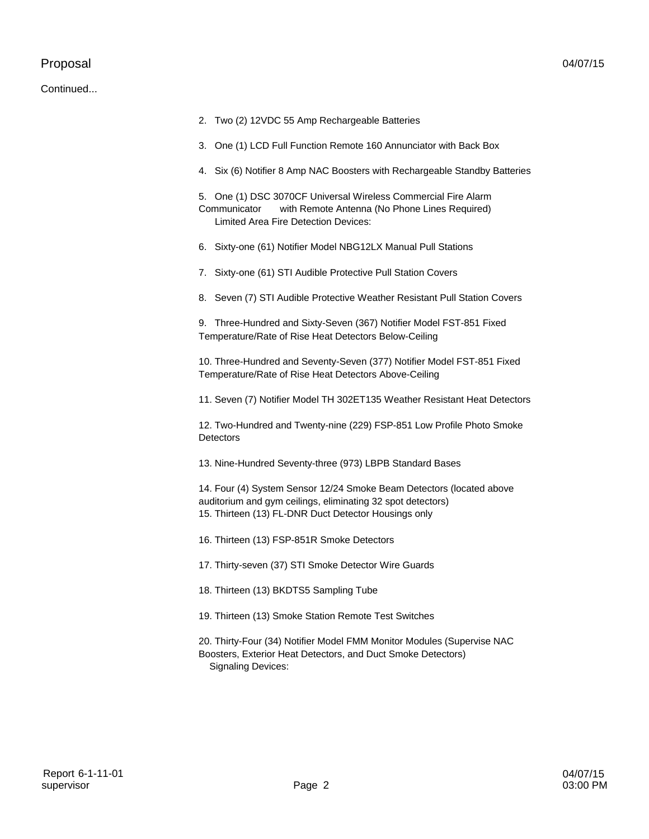## Proposal

## Continued...

|    | 2. Two (2) 12VDC 55 Amp Rechargeable Batteries                                                                                                                                              |
|----|---------------------------------------------------------------------------------------------------------------------------------------------------------------------------------------------|
|    | 3. One (1) LCD Full Function Remote 160 Annunciator with Back Box                                                                                                                           |
|    | 4. Six (6) Notifier 8 Amp NAC Boosters with Rechargeable Standby Batteries                                                                                                                  |
|    | 5. One (1) DSC 3070CF Universal Wireless Commercial Fire Alarm<br>with Remote Antenna (No Phone Lines Required)<br>Communicator<br><b>Limited Area Fire Detection Devices:</b>              |
| 6. | Sixty-one (61) Notifier Model NBG12LX Manual Pull Stations                                                                                                                                  |
|    | 7. Sixty-one (61) STI Audible Protective Pull Station Covers                                                                                                                                |
|    | 8. Seven (7) STI Audible Protective Weather Resistant Pull Station Covers                                                                                                                   |
|    | 9. Three-Hundred and Sixty-Seven (367) Notifier Model FST-851 Fixed<br>Temperature/Rate of Rise Heat Detectors Below-Ceiling                                                                |
|    | 10. Three-Hundred and Seventy-Seven (377) Notifier Model FST-851 Fixed<br>Temperature/Rate of Rise Heat Detectors Above-Ceiling                                                             |
|    | 11. Seven (7) Notifier Model TH 302ET135 Weather Resistant Heat Detectors                                                                                                                   |
|    | 12. Two-Hundred and Twenty-nine (229) FSP-851 Low Profile Photo Smoke<br><b>Detectors</b>                                                                                                   |
|    | 13. Nine-Hundred Seventy-three (973) LBPB Standard Bases                                                                                                                                    |
|    | 14. Four (4) System Sensor 12/24 Smoke Beam Detectors (located above<br>auditorium and gym ceilings, eliminating 32 spot detectors)<br>15. Thirteen (13) FL-DNR Duct Detector Housings only |
|    | 16. Thirteen (13) FSP-851R Smoke Detectors                                                                                                                                                  |
|    | 17. Thirty-seven (37) STI Smoke Detector Wire Guards                                                                                                                                        |
|    | 18. Thirteen (13) BKDTS5 Sampling Tube                                                                                                                                                      |
|    | 19. Thirteen (13) Smoke Station Remote Test Switches                                                                                                                                        |
|    | 20. Thirty-Four (34) Notifier Model FMM Monitor Modules (Supervise NAC<br>Boosters, Exterior Heat Detectors, and Duct Smoke Detectors)<br><b>Signaling Devices:</b>                         |
|    |                                                                                                                                                                                             |